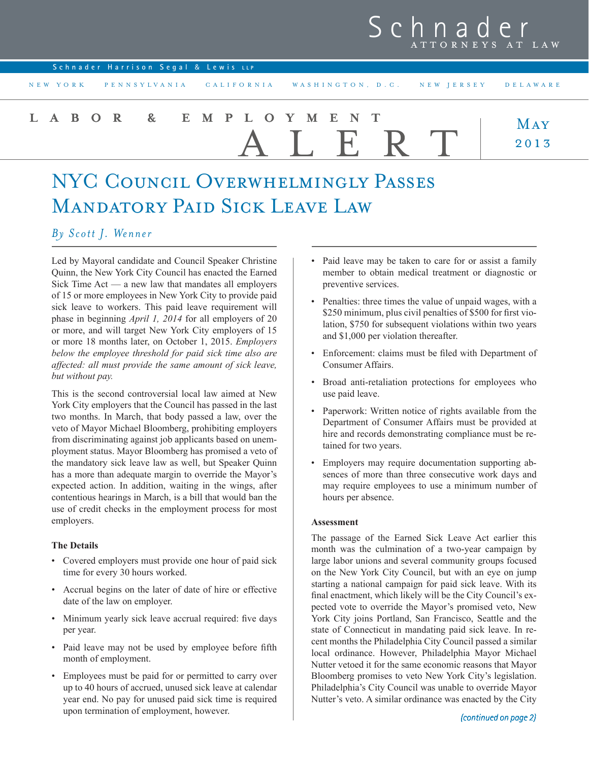## Sch ATTORNEYS AT LAW

| Schnader Harrison Segal & Lewis LLP |                                                                       |             |
|-------------------------------------|-----------------------------------------------------------------------|-------------|
|                                     | NEW YORK PENNSYLVANIA CALIFORNIA WASHINGTON, D.C. NEW JERSEY DELAWARE |             |
| LABOR & EMPLOYMENT                  | AIERT                                                                 | MAY<br>2013 |

# NYC Council Overwhelmingly Passes Mandatory Paid Sick Leave Law

### *By Scott J. Wenner*

Led by Mayoral candidate and Council Speaker Christine Quinn, the New York City Council has enacted the Earned Sick Time Act — a new law that mandates all employers of 15 or more employees in New York City to provide paid sick leave to workers. This paid leave requirement will phase in beginning *April 1, 2014* for all employers of 20 or more, and will target New York City employers of 15 or more 18 months later, on October 1, 2015. *Employers below the employee threshold for paid sick time also are affected: all must provide the same amount of sick leave, but without pay.* 

This is the second controversial local law aimed at New York City employers that the Council has passed in the last two months. In March, that body passed a law, over the veto of Mayor Michael Bloomberg, prohibiting employers from discriminating against job applicants based on unemployment status. Mayor Bloomberg has promised a veto of the mandatory sick leave law as well, but Speaker Quinn has a more than adequate margin to override the Mayor's expected action. In addition, waiting in the wings, after contentious hearings in March, is a bill that would ban the use of credit checks in the employment process for most employers.

#### **The Details**

- Covered employers must provide one hour of paid sick time for every 30 hours worked.
- • Accrual begins on the later of date of hire or effective date of the law on employer.
- • Minimum yearly sick leave accrual required: five days per year.
- Paid leave may not be used by employee before fifth month of employment.
- • Employees must be paid for or permitted to carry over up to 40 hours of accrued, unused sick leave at calendar year end. No pay for unused paid sick time is required upon termination of employment, however.
- Paid leave may be taken to care for or assist a family member to obtain medical treatment or diagnostic or preventive services.
- • Penalties: three times the value of unpaid wages, with a \$250 minimum, plus civil penalties of \$500 for first violation, \$750 for subsequent violations within two years and \$1,000 per violation thereafter.
- Enforcement: claims must be filed with Department of Consumer Affairs.
- Broad anti-retaliation protections for employees who use paid leave.
- • Paperwork: Written notice of rights available from the Department of Consumer Affairs must be provided at hire and records demonstrating compliance must be retained for two years.
- • Employers may require documentation supporting absences of more than three consecutive work days and may require employees to use a minimum number of hours per absence.

#### **Assessment**

The passage of the Earned Sick Leave Act earlier this month was the culmination of a two-year campaign by large labor unions and several community groups focused on the New York City Council, but with an eye on jump starting a national campaign for paid sick leave. With its final enactment, which likely will be the City Council's expected vote to override the Mayor's promised veto, New York City joins Portland, San Francisco, Seattle and the state of Connecticut in mandating paid sick leave. In recent months the Philadelphia City Council passed a similar local ordinance. However, Philadelphia Mayor Michael Nutter vetoed it for the same economic reasons that Mayor Bloomberg promises to veto New York City's legislation. Philadelphia's City Council was unable to override Mayor Nutter's veto. A similar ordinance was enacted by the City